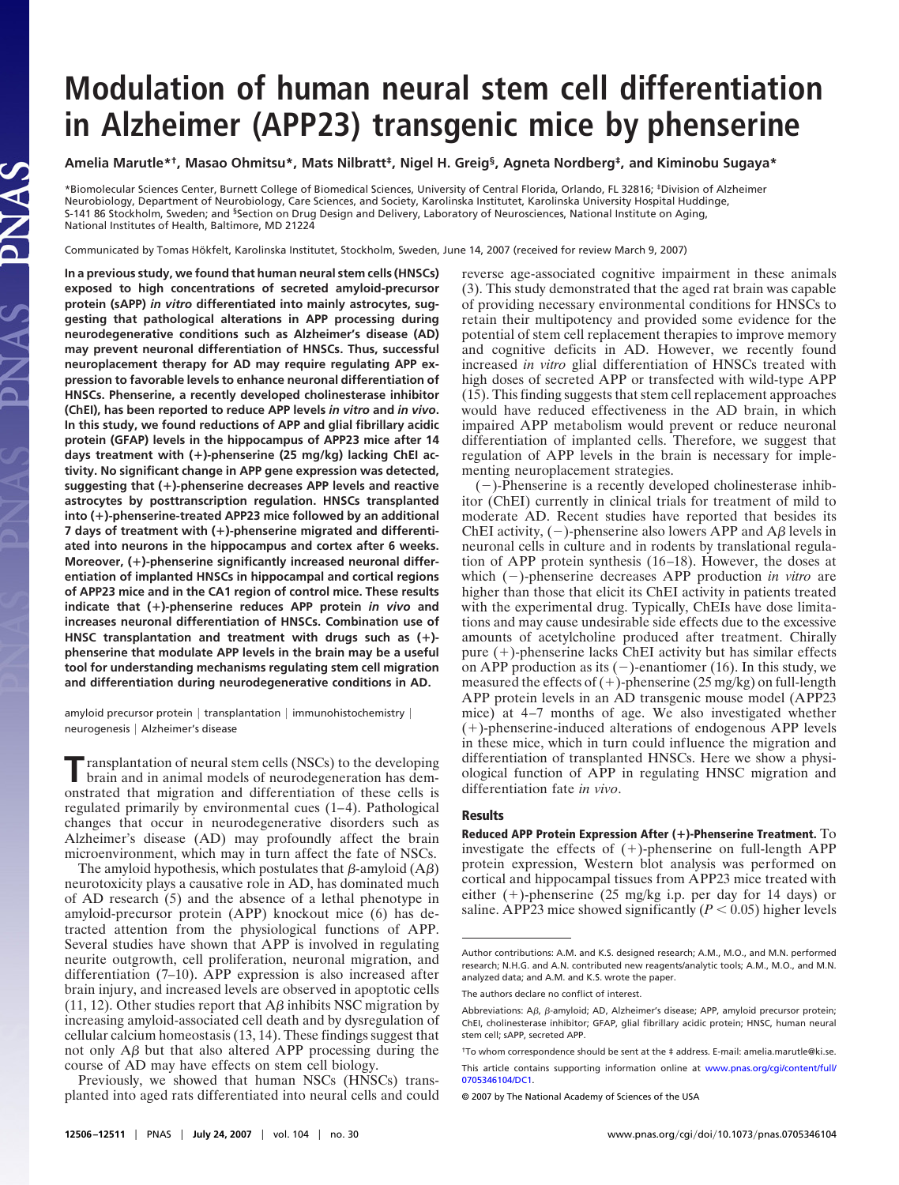# **Modulation of human neural stem cell differentiation in Alzheimer (APP23) transgenic mice by phenserine**

## **Amelia Marutle\*†, Masao Ohmitsu\*, Mats Nilbratt‡, Nigel H. Greig§, Agneta Nordberg‡, and Kiminobu Sugaya\***

\*Biomolecular Sciences Center, Burnett College of Biomedical Sciences, University of Central Florida, Orlando, FL 32816; ‡Division of Alzheimer Neurobiology, Department of Neurobiology, Care Sciences, and Society, Karolinska Institutet, Karolinska University Hospital Huddinge, S-141 86 Stockholm, Sweden; and <sup>§</sup>Section on Drug Design and Delivery, Laboratory of Neurosciences, National Institute on Aging, National Institutes of Health, Baltimore, MD 21224

Communicated by Tomas Hökfelt, Karolinska Institutet, Stockholm, Sweden, June 14, 2007 (received for review March 9, 2007)

**In a previous study, we found that human neural stem cells (HNSCs) exposed to high concentrations of secreted amyloid-precursor protein (sAPP)** *in vitro* **differentiated into mainly astrocytes, suggesting that pathological alterations in APP processing during neurodegenerative conditions such as Alzheimer's disease (AD) may prevent neuronal differentiation of HNSCs. Thus, successful neuroplacement therapy for AD may require regulating APP expression to favorable levels to enhance neuronal differentiation of HNSCs. Phenserine, a recently developed cholinesterase inhibitor (ChEI), has been reported to reduce APP levels** *in vitro* **and** *in vivo***. In this study, we found reductions of APP and glial fibrillary acidic protein (GFAP) levels in the hippocampus of APP23 mice after 14 days treatment with ()-phenserine (25 mg/kg) lacking ChEI activity. No significant change in APP gene expression was detected, suggesting that ()-phenserine decreases APP levels and reactive astrocytes by posttranscription regulation. HNSCs transplanted into ()-phenserine-treated APP23 mice followed by an additional 7 days of treatment with ()-phenserine migrated and differentiated into neurons in the hippocampus and cortex after 6 weeks. Moreover, ()-phenserine significantly increased neuronal differentiation of implanted HNSCs in hippocampal and cortical regions of APP23 mice and in the CA1 region of control mice. These results indicate that ()-phenserine reduces APP protein** *in vivo* **and increases neuronal differentiation of HNSCs. Combination use of HNSC transplantation and treatment with drugs such as () phenserine that modulate APP levels in the brain may be a useful tool for understanding mechanisms regulating stem cell migration and differentiation during neurodegenerative conditions in AD.**

AS

amyloid precursor protein | transplantation | immunohistochemistry | neurogenesis Alzheimer's disease

**T**ransplantation of neural stem cells (NSCs) to the developing brain and in animal models of neurodegeneration has demonstrated that migration and differentiation of these cells is regulated primarily by environmental cues (1–4). Pathological changes that occur in neurodegenerative disorders such as Alzheimer's disease (AD) may profoundly affect the brain microenvironment, which may in turn affect the fate of NSCs.

The amyloid hypothesis, which postulates that  $\beta$ -amyloid (A $\beta$ ) neurotoxicity plays a causative role in AD, has dominated much of AD research (5) and the absence of a lethal phenotype in amyloid-precursor protein (APP) knockout mice (6) has detracted attention from the physiological functions of APP. Several studies have shown that APP is involved in regulating neurite outgrowth, cell proliferation, neuronal migration, and differentiation (7–10). APP expression is also increased after brain injury, and increased levels are observed in apoptotic cells (11, 12). Other studies report that  $\overrightarrow{AB}$  inhibits NSC migration by increasing amyloid-associated cell death and by dysregulation of cellular calcium homeostasis (13, 14). These findings suggest that not only  $\overrightarrow{AB}$  but that also altered APP processing during the course of AD may have effects on stem cell biology.

Previously, we showed that human NSCs (HNSCs) transplanted into aged rats differentiated into neural cells and could reverse age-associated cognitive impairment in these animals (3). This study demonstrated that the aged rat brain was capable of providing necessary environmental conditions for HNSCs to retain their multipotency and provided some evidence for the potential of stem cell replacement therapies to improve memory and cognitive deficits in AD. However, we recently found increased *in vitro* glial differentiation of HNSCs treated with high doses of secreted APP or transfected with wild-type APP (15). This finding suggests that stem cell replacement approaches would have reduced effectiveness in the AD brain, in which impaired APP metabolism would prevent or reduce neuronal differentiation of implanted cells. Therefore, we suggest that regulation of APP levels in the brain is necessary for implementing neuroplacement strategies.

 $(-)$ -Phenserine is a recently developed cholinesterase inhibitor (ChEI) currently in clinical trials for treatment of mild to moderate AD. Recent studies have reported that besides its ChEI activity,  $(-)$ -phenserine also lowers APP and A $\beta$  levels in neuronal cells in culture and in rodents by translational regulation of APP protein synthesis (16–18). However, the doses at which (-)-phenserine decreases APP production *in vitro* are higher than those that elicit its ChEI activity in patients treated with the experimental drug. Typically, ChEIs have dose limitations and may cause undesirable side effects due to the excessive amounts of acetylcholine produced after treatment. Chirally pure (+)-phenserine lacks ChEI activity but has similar effects on APP production as its  $(-)$ -enantiomer (16). In this study, we measured the effects of  $(+)$ -phenserine  $(25 \text{ mg/kg})$  on full-length APP protein levels in an AD transgenic mouse model (APP23 mice) at 4–7 months of age. We also investigated whether (-)-phenserine-induced alterations of endogenous APP levels in these mice, which in turn could influence the migration and differentiation of transplanted HNSCs. Here we show a physiological function of APP in regulating HNSC migration and differentiation fate *in vivo*.

#### **Results**

**Reduced APP Protein Expression After ()-Phenserine Treatment.** To investigate the effects of  $(+)$ -phenserine on full-length APP protein expression, Western blot analysis was performed on cortical and hippocampal tissues from APP23 mice treated with either (+)-phenserine (25 mg/kg i.p. per day for 14 days) or saline. APP23 mice showed significantly  $(P < 0.05)$  higher levels

Author contributions: A.M. and K.S. designed research; A.M., M.O., and M.N. performed research; N.H.G. and A.N. contributed new reagents/analytic tools; A.M., M.O., and M.N. analyzed data; and A.M. and K.S. wrote the paper.

The authors declare no conflict of interest.

Abbreviations:  $A\beta$ ,  $\beta$ -amyloid; AD, Alzheimer's disease; APP, amyloid precursor protein; ChEI, cholinesterase inhibitor; GFAP, glial fibrillary acidic protein; HNSC, human neural stem cell; sAPP, secreted APP.

<sup>†</sup>To whom correspondence should be sent at the ‡ address. E-mail: amelia.marutle@ki.se.

This article contains supporting information online at [www.pnas.org/cgi/content/full/](http://www.pnas.org/cgi/content/full/0705346104/DC1) [0705346104/DC1.](http://www.pnas.org/cgi/content/full/0705346104/DC1)

<sup>© 2007</sup> by The National Academy of Sciences of the USA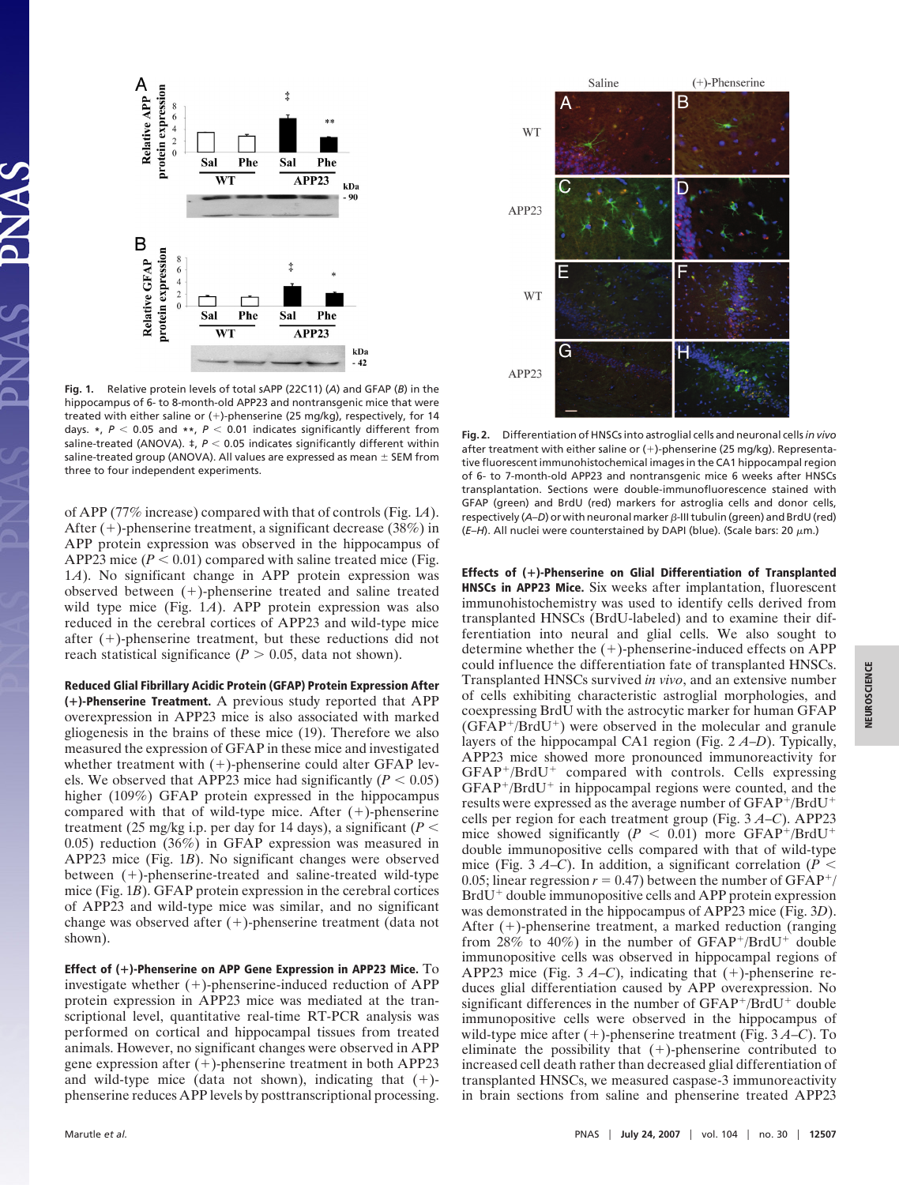

**Fig. 1.** Relative protein levels of total sAPP (22C11) (*A*) and GFAP (*B*) in the hippocampus of 6- to 8-month-old APP23 and nontransgenic mice that were treated with either saline or (+)-phenserine (25 mg/kg), respectively, for 14 days. **\***, *P* 0.05 and **\*\***, *P* 0.01 indicates significantly different from saline-treated (ANOVA).  $\ddagger$ ,  $P < 0.05$  indicates significantly different within saline-treated group (ANOVA). All values are expressed as mean  $\pm$  SEM from three to four independent experiments.

of APP (77% increase) compared with that of controls (Fig. 1*A*). After (+)-phenserine treatment, a significant decrease (38%) in APP protein expression was observed in the hippocampus of APP23 mice  $(P < 0.01)$  compared with saline treated mice (Fig. 1*A*). No significant change in APP protein expression was  $observed$  between  $(+)$ -phenserine treated and saline treated wild type mice (Fig. 1*A*). APP protein expression was also reduced in the cerebral cortices of APP23 and wild-type mice after  $(+)$ -phenserine treatment, but these reductions did not reach statistical significance  $(P > 0.05$ , data not shown).

**Reduced Glial Fibrillary Acidic Protein (GFAP) Protein Expression After ()-Phenserine Treatment.** A previous study reported that APP overexpression in APP23 mice is also associated with marked gliogenesis in the brains of these mice (19). Therefore we also measured the expression of GFAP in these mice and investigated whether treatment with  $(+)$ -phenserine could alter GFAP levels. We observed that APP23 mice had significantly  $(P < 0.05)$ higher (109%) GFAP protein expressed in the hippocampus compared with that of wild-type mice. After  $(+)$ -phenserine treatment (25 mg/kg i.p. per day for 14 days), a significant ( $P <$ 0.05) reduction (36%) in GFAP expression was measured in APP23 mice (Fig. 1*B*). No significant changes were observed between (+)-phenserine-treated and saline-treated wild-type mice (Fig. 1*B*). GFAP protein expression in the cerebral cortices of APP23 and wild-type mice was similar, and no significant change was observed after  $(+)$ -phenserine treatment (data not shown).

**Effect of ()-Phenserine on APP Gene Expression in APP23 Mice.** To investigate whether  $(+)$ -phenserine-induced reduction of APP protein expression in APP23 mice was mediated at the transcriptional level, quantitative real-time RT-PCR analysis was performed on cortical and hippocampal tissues from treated animals. However, no significant changes were observed in APP gene expression after (+)-phenserine treatment in both APP23 and wild-type mice (data not shown), indicating that  $(+)$ phenserine reduces APP levels by posttranscriptional processing.



**Fig. 2.** Differentiation of HNSCs into astroglial cells and neuronal cells*in vivo* after treatment with either saline or  $(+)$ -phenserine (25 mg/kg). Representative fluorescent immunohistochemical images in the CA1 hippocampal region of 6- to 7-month-old APP23 and nontransgenic mice 6 weeks after HNSCs transplantation. Sections were double-immunofluorescence stained with GFAP (green) and BrdU (red) markers for astroglia cells and donor cells, respectively  $(A-D)$  or with neuronal marker  $\beta$ -III tubulin (green) and BrdU (red)  $(E-H)$ . All nuclei were counterstained by DAPI (blue). (Scale bars: 20  $\mu$ m.)

**Effects of ()-Phenserine on Glial Differentiation of Transplanted HNSCs in APP23 Mice.** Six weeks after implantation, fluorescent immunohistochemistry was used to identify cells derived from transplanted HNSCs (BrdU-labeled) and to examine their differentiation into neural and glial cells. We also sought to determine whether the  $(+)$ -phenserine-induced effects on APP could influence the differentiation fate of transplanted HNSCs. Transplanted HNSCs survived *in vivo*, and an extensive number of cells exhibiting characteristic astroglial morphologies, and coexpressing BrdU with the astrocytic marker for human GFAP  $(GFAP+/BrdU^+)$  were observed in the molecular and granule layers of the hippocampal CA1 region (Fig. 2 *A*–*D*). Typically, APP23 mice showed more pronounced immunoreactivity for GFAP+/BrdU+ compared with controls. Cells expressing GFAP<sup>+</sup>/BrdU<sup>+</sup> in hippocampal regions were counted, and the results were expressed as the average number of GFAP+/BrdU+ cells per region for each treatment group (Fig. 3 *A*–*C*). APP23 mice showed significantly  $(P < 0.01)$  more GFAP<sup>+</sup>/BrdU<sup>+</sup> double immunopositive cells compared with that of wild-type mice (Fig. 3 *A*–*C*). In addition, a significant correlation ( $P$  < 0.05; linear regression  $r = 0.47$ ) between the number of GFAP<sup>+</sup>/ BrdU<sup>+</sup> double immunopositive cells and APP protein expression was demonstrated in the hippocampus of APP23 mice (Fig. 3*D*). After (+)-phenserine treatment, a marked reduction (ranging from 28% to 40%) in the number of  $GFAP^+/BrdU^+$  double immunopositive cells was observed in hippocampal regions of APP23 mice (Fig.  $3A-C$ ), indicating that  $(+)$ -phenserine reduces glial differentiation caused by APP overexpression. No significant differences in the number of GFAP+/BrdU+ double immunopositive cells were observed in the hippocampus of wild-type mice after (+)-phenserine treatment (Fig. 3A–C). To eliminate the possibility that  $(+)$ -phenserine contributed to increased cell death rather than decreased glial differentiation of transplanted HNSCs, we measured caspase-3 immunoreactivity in brain sections from saline and phenserine treated APP23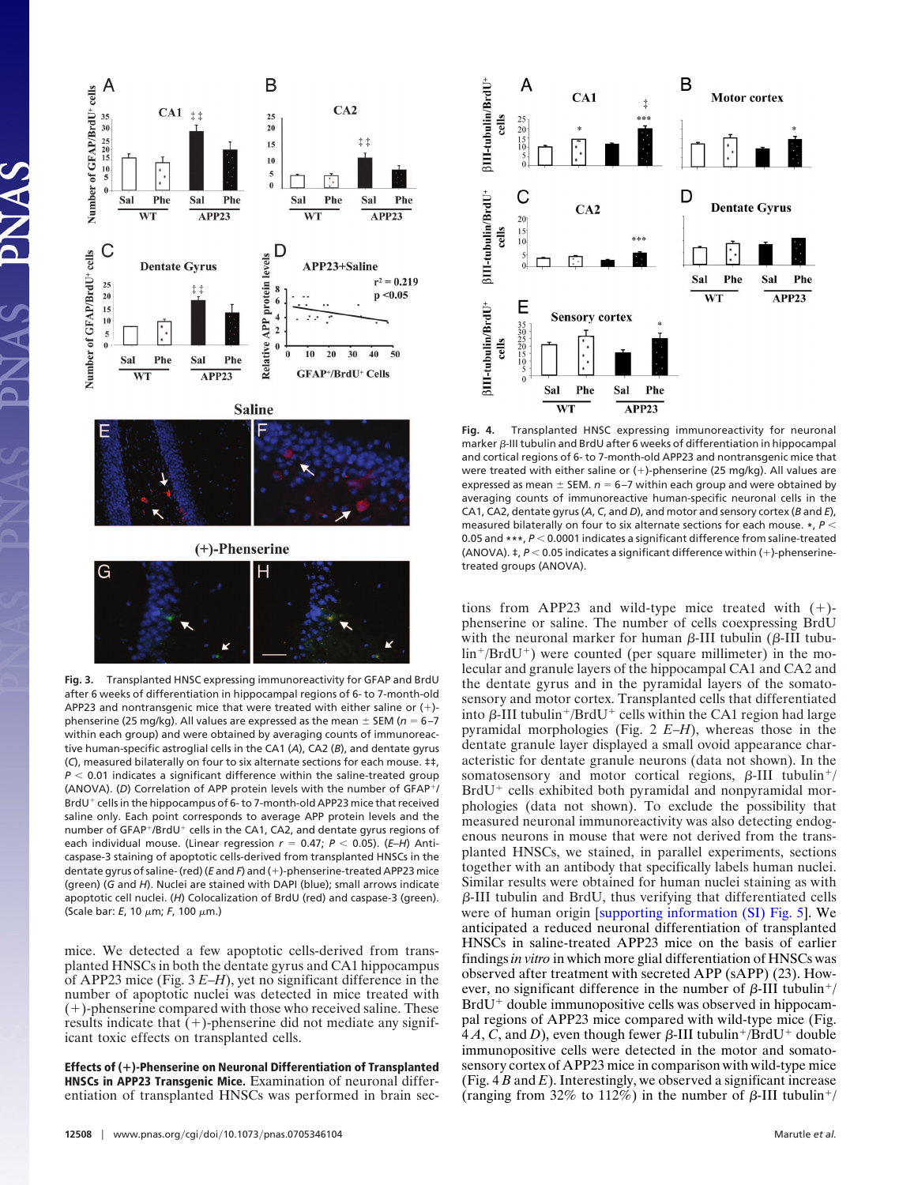

after 6 weeks of differentiation in hippocampal regions of 6- to 7-month-old APP23 and nontransgenic mice that were treated with either saline or (-) phenserine (25 mg/kg). All values are expressed as the mean  $\pm$  SEM (n = 6-7 within each group) and were obtained by averaging counts of immunoreactive human-specific astroglial cells in the CA1 (*A*), CA2 (*B*), and dentate gyrus (*C*), measured bilaterally on four to six alternate sections for each mouse. ‡‡, *P* < 0.01 indicates a significant difference within the saline-treated group (ANOVA). (D) Correlation of APP protein levels with the number of GFAP<sup>+</sup>/ BrdU<sup>+</sup> cells in the hippocampus of 6- to 7-month-old APP23 mice that received saline only. Each point corresponds to average APP protein levels and the number of GFAP<sup>+</sup>/BrdU<sup>+</sup> cells in the CA1, CA2, and dentate gyrus regions of each individual mouse. (Linear regression  $r = 0.47$ ;  $P < 0.05$ ). (*E-H*) Anticaspase-3 staining of apoptotic cells-derived from transplanted HNSCs in the dentate gyrus of saline- (red) (*E* and *F*) and (+)-phenserine-treated APP23 mice (green) (*G* and *H*). Nuclei are stained with DAPI (blue); small arrows indicate apoptotic cell nuclei. (*H*) Colocalization of BrdU (red) and caspase-3 (green). (Scale bar: *E*, 10 μm; *F*, 100 μm.)

mice. We detected a few apoptotic cells-derived from transplanted HNSCs in both the dentate gyrus and CA1 hippocampus of APP23 mice (Fig. 3 *E*–*H*), yet no significant difference in the number of apoptotic nuclei was detected in mice treated with (-)-phenserine compared with those who received saline. These results indicate that  $(+)$ -phenserine did not mediate any significant toxic effects on transplanted cells.

**Effects of ()-Phenserine on Neuronal Differentiation of Transplanted HNSCs in APP23 Transgenic Mice.** Examination of neuronal differentiation of transplanted HNSCs was performed in brain sec-



**Fig. 4.** Transplanted HNSC expressing immunoreactivity for neuronal marker  $\beta$ -III tubulin and BrdU after 6 weeks of differentiation in hippocampal and cortical regions of 6- to 7-month-old APP23 and nontransgenic mice that were treated with either saline or (+)-phenserine (25 mg/kg). All values are expressed as mean  $\pm$  SEM.  $n = 6-7$  within each group and were obtained by averaging counts of immunoreactive human-specific neuronal cells in the CA1, CA2, dentate gyrus (*A*, *C*, and *D*), and motor and sensory cortex (*B* and *E*), measured bilaterally on four to six alternate sections for each mouse. **\***, *P* 0.05 and \*\*\*,  $P < 0.0001$  indicates a significant difference from saline-treated  $(ANOVA)$ .  $\ddagger$ ,  $P < 0.05$  indicates a significant difference within  $(+)$ -phenserinetreated groups (ANOVA).

tions from APP23 and wild-type mice treated with  $(+)$ phenserine or saline. The number of cells coexpressing BrdU with the neuronal marker for human  $\beta$ -III tubulin ( $\beta$ -III tubulin<sup>+</sup>/BrdU<sup>+</sup>) were counted (per square millimeter) in the molecular and granule layers of the hippocampal CA1 and CA2 and the dentate gyrus and in the pyramidal layers of the somatosensory and motor cortex. Transplanted cells that differentiated into  $\beta$ -III tubulin<sup>+</sup>/BrdU<sup>+</sup> cells within the CA1 region had large pyramidal morphologies (Fig. 2 *E*–*H*), whereas those in the dentate granule layer displayed a small ovoid appearance characteristic for dentate granule neurons (data not shown). In the somatosensory and motor cortical regions,  $\beta$ -III tubulin<sup>+</sup>/ BrdU<sup>+</sup> cells exhibited both pyramidal and nonpyramidal morphologies (data not shown). To exclude the possibility that measured neuronal immunoreactivity was also detecting endogenous neurons in mouse that were not derived from the transplanted HNSCs, we stained, in parallel experiments, sections together with an antibody that specifically labels human nuclei. Similar results were obtained for human nuclei staining as with  $\beta$ -III tubulin and BrdU, thus verifying that differentiated cells were of human origin [\[supporting information \(SI\) Fig. 5\]](http://www.pnas.org/cgi/content/full/0705346104/DC1). We anticipated a reduced neuronal differentiation of transplanted HNSCs in saline-treated APP23 mice on the basis of earlier findings *in vitro* in which more glial differentiation of HNSCs was observed after treatment with secreted APP (sAPP) (23). However, no significant difference in the number of  $\beta$ -III tubulin<sup>+</sup>/ BrdU<sup>+</sup> double immunopositive cells was observed in hippocampal regions of APP23 mice compared with wild-type mice (Fig.  $4A, C$ , and *D*), even though fewer  $\beta$ -III tubulin<sup>+</sup>/BrdU<sup>+</sup> double immunopositive cells were detected in the motor and somatosensory cortex of APP23 mice in comparison with wild-type mice (Fig. 4 *B* and *E*). Interestingly, we observed a significant increase (ranging from 32% to 112%) in the number of  $\beta$ -III tubulin<sup>+</sup>/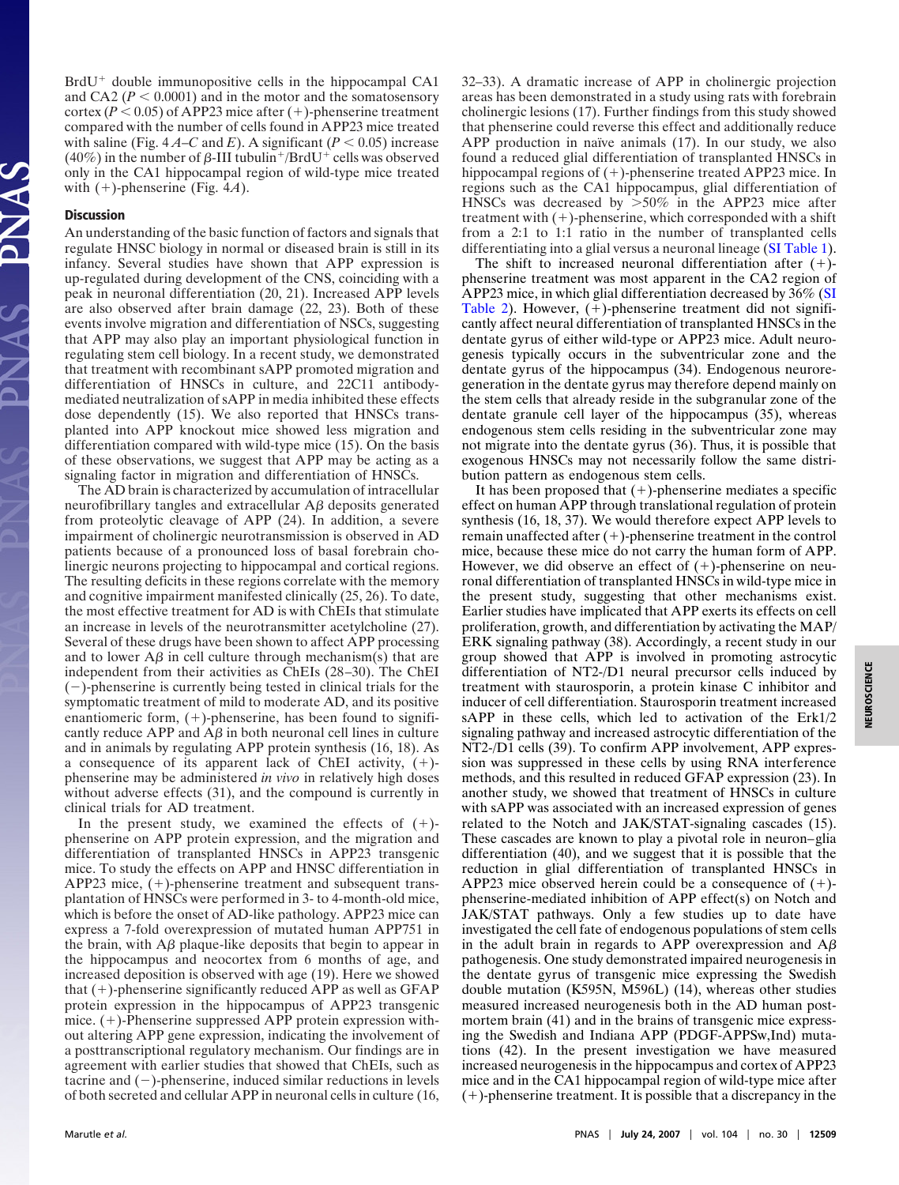BrdU<sup>+</sup> double immunopositive cells in the hippocampal CA1 and CA2 ( $P < 0.0001$ ) and in the motor and the somatosensory cortex ( $P < 0.05$ ) of APP23 mice after (+)-phenserine treatment compared with the number of cells found in APP23 mice treated with saline (Fig.  $4A-C$  and *E*). A significant ( $P < 0.05$ ) increase (40%) in the number of  $\beta$ -III tubulin<sup>+</sup>/BrdU<sup>+</sup> cells was observed only in the CA1 hippocampal region of wild-type mice treated with  $(+)$ -phenserine (Fig. 4*A*).

### **Discussion**

An understanding of the basic function of factors and signals that regulate HNSC biology in normal or diseased brain is still in its infancy. Several studies have shown that APP expression is up-regulated during development of the CNS, coinciding with a peak in neuronal differentiation (20, 21). Increased APP levels are also observed after brain damage (22, 23). Both of these events involve migration and differentiation of NSCs, suggesting that APP may also play an important physiological function in regulating stem cell biology. In a recent study, we demonstrated that treatment with recombinant sAPP promoted migration and differentiation of HNSCs in culture, and 22C11 antibodymediated neutralization of sAPP in media inhibited these effects dose dependently (15). We also reported that HNSCs transplanted into APP knockout mice showed less migration and differentiation compared with wild-type mice (15). On the basis of these observations, we suggest that APP may be acting as a signaling factor in migration and differentiation of HNSCs.

The AD brain is characterized by accumulation of intracellular neurofibrillary tangles and extracellular  $\Delta \beta$  deposits generated from proteolytic cleavage of APP (24). In addition, a severe impairment of cholinergic neurotransmission is observed in AD patients because of a pronounced loss of basal forebrain cholinergic neurons projecting to hippocampal and cortical regions. The resulting deficits in these regions correlate with the memory and cognitive impairment manifested clinically (25, 26). To date, the most effective treatment for AD is with ChEIs that stimulate an increase in levels of the neurotransmitter acetylcholine (27). Several of these drugs have been shown to affect APP processing and to lower  $\overrightarrow{AB}$  in cell culture through mechanism(s) that are independent from their activities as ChEIs (28–30). The ChEI  $(-)$ -phenserine is currently being tested in clinical trials for the symptomatic treatment of mild to moderate AD, and its positive enantiomeric form,  $(+)$ -phenserine, has been found to significantly reduce APP and  $\overrightarrow{AB}$  in both neuronal cell lines in culture and in animals by regulating APP protein synthesis (16, 18). As a consequence of its apparent lack of ChEI activity,  $(+)$ phenserine may be administered *in vivo* in relatively high doses without adverse effects (31), and the compound is currently in clinical trials for AD treatment.

In the present study, we examined the effects of  $(+)$ phenserine on APP protein expression, and the migration and differentiation of transplanted HNSCs in APP23 transgenic mice. To study the effects on APP and HNSC differentiation in APP23 mice, (+)-phenserine treatment and subsequent transplantation of HNSCs were performed in 3- to 4-month-old mice, which is before the onset of AD-like pathology. APP23 mice can express a 7-fold overexpression of mutated human APP751 in the brain, with  $\Delta\beta$  plaque-like deposits that begin to appear in the hippocampus and neocortex from 6 months of age, and increased deposition is observed with age (19). Here we showed that (+)-phenserine significantly reduced APP as well as GFAP protein expression in the hippocampus of APP23 transgenic mice.  $(+)$ -Phenserine suppressed APP protein expression without altering APP gene expression, indicating the involvement of a posttranscriptional regulatory mechanism. Our findings are in agreement with earlier studies that showed that ChEIs, such as tacrine and  $(-)$ -phenserine, induced similar reductions in levels of both secreted and cellular APP in neuronal cells in culture (16,

32–33). A dramatic increase of APP in cholinergic projection areas has been demonstrated in a study using rats with forebrain cholinergic lesions (17). Further findings from this study showed that phenserine could reverse this effect and additionally reduce APP production in naïve animals  $(17)$ . In our study, we also found a reduced glial differentiation of transplanted HNSCs in hippocampal regions of (+)-phenserine treated APP23 mice. In regions such as the CA1 hippocampus, glial differentiation of HNSCs was decreased by  $>50\%$  in the APP23 mice after treatment with  $(+)$ -phenserine, which corresponded with a shift from a 2:1 to 1:1 ratio in the number of transplanted cells differentiating into a glial versus a neuronal lineage [\(SI Table 1\)](http://www.pnas.org/cgi/content/full/0705346104/DC1).

The shift to increased neuronal differentiation after  $(+)$ phenserine treatment was most apparent in the CA2 region of APP23 mice, in which glial differentiation decreased by 36% [\(SI](http://www.pnas.org/cgi/content/full/0705346104/DC1) [Table 2\)](http://www.pnas.org/cgi/content/full/0705346104/DC1). However, (+)-phenserine treatment did not significantly affect neural differentiation of transplanted HNSCs in the dentate gyrus of either wild-type or APP23 mice. Adult neurogenesis typically occurs in the subventricular zone and the dentate gyrus of the hippocampus (34). Endogenous neuroregeneration in the dentate gyrus may therefore depend mainly on the stem cells that already reside in the subgranular zone of the dentate granule cell layer of the hippocampus (35), whereas endogenous stem cells residing in the subventricular zone may not migrate into the dentate gyrus (36). Thus, it is possible that exogenous HNSCs may not necessarily follow the same distribution pattern as endogenous stem cells.

It has been proposed that  $(+)$ -phenserine mediates a specific effect on human APP through translational regulation of protein synthesis (16, 18, 37). We would therefore expect APP levels to remain unaffected after (+)-phenserine treatment in the control mice, because these mice do not carry the human form of APP. However, we did observe an effect of  $(+)$ -phenserine on neuronal differentiation of transplanted HNSCs in wild-type mice in the present study, suggesting that other mechanisms exist. Earlier studies have implicated that APP exerts its effects on cell proliferation, growth, and differentiation by activating the MAP/ ERK signaling pathway (38). Accordingly, a recent study in our group showed that APP is involved in promoting astrocytic differentiation of NT2-/D1 neural precursor cells induced by treatment with staurosporin, a protein kinase C inhibitor and inducer of cell differentiation. Staurosporin treatment increased sAPP in these cells, which led to activation of the Erk1/2 signaling pathway and increased astrocytic differentiation of the NT2-/D1 cells (39). To confirm APP involvement, APP expression was suppressed in these cells by using RNA interference methods, and this resulted in reduced GFAP expression (23). In another study, we showed that treatment of HNSCs in culture with sAPP was associated with an increased expression of genes related to the Notch and JAK/STAT-signaling cascades (15). These cascades are known to play a pivotal role in neuron–glia differentiation (40), and we suggest that it is possible that the reduction in glial differentiation of transplanted HNSCs in APP23 mice observed herein could be a consequence of  $(+)$ phenserine-mediated inhibition of APP effect(s) on Notch and JAK/STAT pathways. Only a few studies up to date have investigated the cell fate of endogenous populations of stem cells in the adult brain in regards to APP overexpression and  $A\beta$ pathogenesis. One study demonstrated impaired neurogenesis in the dentate gyrus of transgenic mice expressing the Swedish double mutation (K595N, M596L) (14), whereas other studies measured increased neurogenesis both in the AD human postmortem brain (41) and in the brains of transgenic mice expressing the Swedish and Indiana APP (PDGF-APPSw,Ind) mutations (42). In the present investigation we have measured increased neurogenesis in the hippocampus and cortex of APP23 mice and in the CA1 hippocampal region of wild-type mice after  $(+)$ -phenserine treatment. It is possible that a discrepancy in the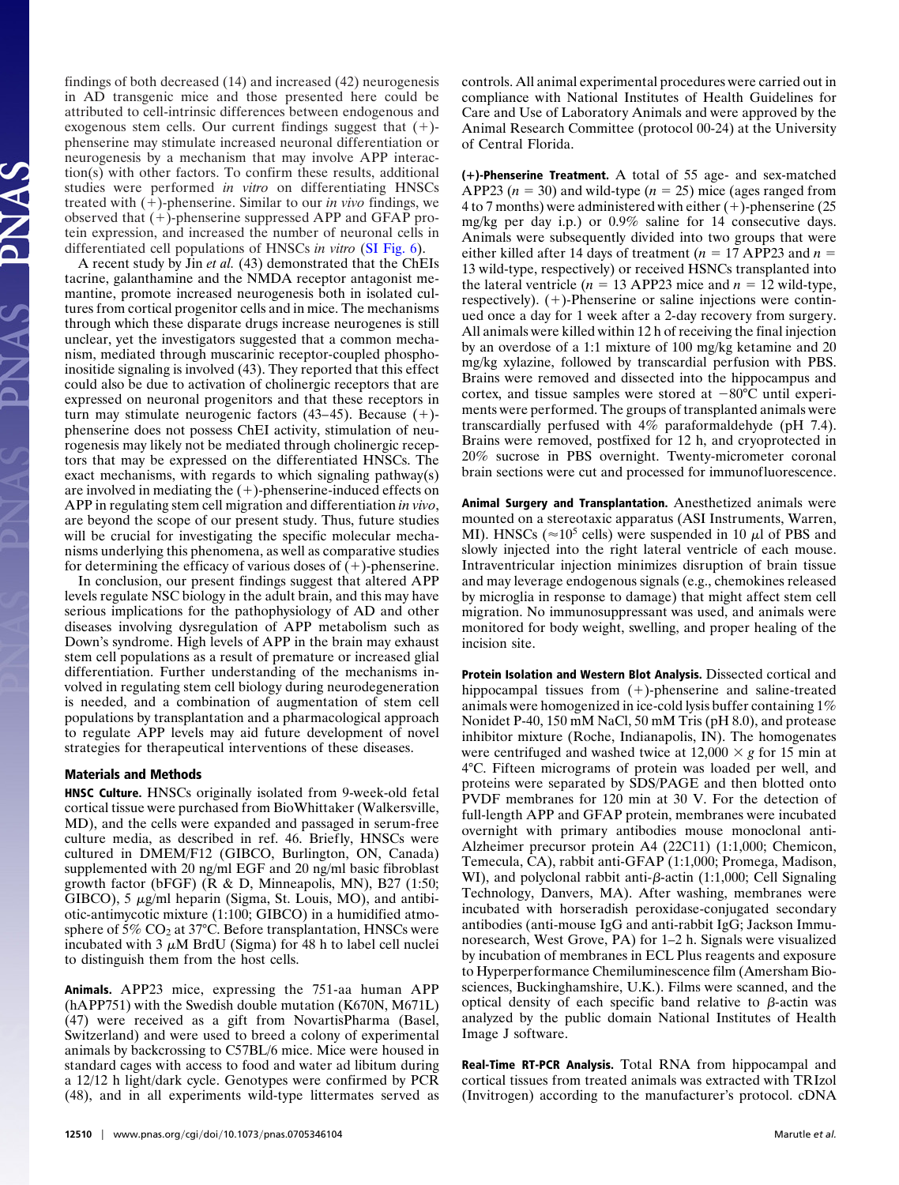findings of both decreased (14) and increased (42) neurogenesis in AD transgenic mice and those presented here could be attributed to cell-intrinsic differences between endogenous and exogenous stem cells. Our current findings suggest that  $(+)$ phenserine may stimulate increased neuronal differentiation or neurogenesis by a mechanism that may involve APP interaction(s) with other factors. To confirm these results, additional studies were performed *in vitro* on differentiating HNSCs treated with  $(+)$ -phenserine. Similar to our *in vivo* findings, we observed that  $(+)$ -phenserine suppressed APP and GFAP protein expression, and increased the number of neuronal cells in differentiated cell populations of HNSCs *in vitro* [\(SI Fig. 6\)](http://www.pnas.org/cgi/content/full/0705346104/DC1).

A recent study by Jin *et al.* (43) demonstrated that the ChEIs tacrine, galanthamine and the NMDA receptor antagonist memantine, promote increased neurogenesis both in isolated cultures from cortical progenitor cells and in mice. The mechanisms through which these disparate drugs increase neurogenes is still unclear, yet the investigators suggested that a common mechanism, mediated through muscarinic receptor-coupled phosphoinositide signaling is involved (43). They reported that this effect could also be due to activation of cholinergic receptors that are expressed on neuronal progenitors and that these receptors in turn may stimulate neurogenic factors  $(43-45)$ . Because  $(+)$ phenserine does not possess ChEI activity, stimulation of neurogenesis may likely not be mediated through cholinergic receptors that may be expressed on the differentiated HNSCs. The exact mechanisms, with regards to which signaling pathway(s) are involved in mediating the  $(+)$ -phenserine-induced effects on APP in regulating stem cell migration and differentiation *in vivo*, are beyond the scope of our present study. Thus, future studies will be crucial for investigating the specific molecular mechanisms underlying this phenomena, as well as comparative studies for determining the efficacy of various doses of  $(+)$ -phenserine.

In conclusion, our present findings suggest that altered APP levels regulate NSC biology in the adult brain, and this may have serious implications for the pathophysiology of AD and other diseases involving dysregulation of APP metabolism such as Down's syndrome. High levels of APP in the brain may exhaust stem cell populations as a result of premature or increased glial differentiation. Further understanding of the mechanisms involved in regulating stem cell biology during neurodegeneration is needed, and a combination of augmentation of stem cell populations by transplantation and a pharmacological approach to regulate APP levels may aid future development of novel strategies for therapeutical interventions of these diseases.

## **Materials and Methods**

**HNSC Culture.** HNSCs originally isolated from 9-week-old fetal cortical tissue were purchased from BioWhittaker (Walkersville, MD), and the cells were expanded and passaged in serum-free culture media, as described in ref. 46. Briefly, HNSCs were cultured in DMEM/F12 (GIBCO, Burlington, ON, Canada) supplemented with 20 ng/ml EGF and 20 ng/ml basic fibroblast growth factor (bFGF) (R & D, Minneapolis, MN), B27 (1:50;  $GIBCO$ ), 5  $\mu$ g/ml heparin (Sigma, St. Louis, MO), and antibiotic-antimycotic mixture (1:100; GIBCO) in a humidified atmosphere of  $5\%$  CO<sub>2</sub> at 37°C. Before transplantation, HNSCs were incubated with 3  $\mu$ M BrdU (Sigma) for 48 h to label cell nuclei to distinguish them from the host cells.

**Animals.** APP23 mice, expressing the 751-aa human APP (hAPP751) with the Swedish double mutation (K670N, M671L) (47) were received as a gift from NovartisPharma (Basel, Switzerland) and were used to breed a colony of experimental animals by backcrossing to C57BL/6 mice. Mice were housed in standard cages with access to food and water ad libitum during a 12/12 h light/dark cycle. Genotypes were confirmed by PCR (48), and in all experiments wild-type littermates served as controls. All animal experimental procedures were carried out in compliance with National Institutes of Health Guidelines for Care and Use of Laboratory Animals and were approved by the Animal Research Committee (protocol 00-24) at the University of Central Florida.

**()-Phenserine Treatment.** A total of 55 age- and sex-matched APP23  $(n = 30)$  and wild-type  $(n = 25)$  mice (ages ranged from 4 to 7 months) were administered with either  $(+)$ -phenserine  $(25)$ mg/kg per day i.p.) or 0.9% saline for 14 consecutive days. Animals were subsequently divided into two groups that were either killed after 14 days of treatment ( $n = 17$  APP23 and  $n =$ 13 wild-type, respectively) or received HSNCs transplanted into the lateral ventricle ( $n = 13$  APP23 mice and  $n = 12$  wild-type, respectively). (+)-Phenserine or saline injections were continued once a day for 1 week after a 2-day recovery from surgery. All animals were killed within 12 h of receiving the final injection by an overdose of a 1:1 mixture of 100 mg/kg ketamine and 20 mg/kg xylazine, followed by transcardial perfusion with PBS. Brains were removed and dissected into the hippocampus and cortex, and tissue samples were stored at  $-80^{\circ}$ C until experiments were performed. The groups of transplanted animals were transcardially perfused with 4% paraformaldehyde (pH 7.4). Brains were removed, postfixed for 12 h, and cryoprotected in 20% sucrose in PBS overnight. Twenty-micrometer coronal brain sections were cut and processed for immunofluorescence.

**Animal Surgery and Transplantation.** Anesthetized animals were mounted on a stereotaxic apparatus (ASI Instruments, Warren, MI). HNSCs ( $\approx$ 10<sup>5</sup> cells) were suspended in 10  $\mu$ l of PBS and slowly injected into the right lateral ventricle of each mouse. Intraventricular injection minimizes disruption of brain tissue and may leverage endogenous signals (e.g., chemokines released by microglia in response to damage) that might affect stem cell migration. No immunosuppressant was used, and animals were monitored for body weight, swelling, and proper healing of the incision site.

**Protein Isolation and Western Blot Analysis.** Dissected cortical and hippocampal tissues from  $(+)$ -phenserine and saline-treated animals were homogenized in ice-cold lysis buffer containing 1% Nonidet P-40, 150 mM NaCl, 50 mM Tris (pH 8.0), and protease inhibitor mixture (Roche, Indianapolis, IN). The homogenates were centrifuged and washed twice at  $12,000 \times g$  for 15 min at 4°C. Fifteen micrograms of protein was loaded per well, and proteins were separated by SDS/PAGE and then blotted onto PVDF membranes for 120 min at 30 V. For the detection of full-length APP and GFAP protein, membranes were incubated overnight with primary antibodies mouse monoclonal anti-Alzheimer precursor protein A4 (22C11) (1:1,000; Chemicon, Temecula, CA), rabbit anti-GFAP (1:1,000; Promega, Madison, WI), and polyclonal rabbit anti- $\beta$ -actin (1:1,000; Cell Signaling Technology, Danvers, MA). After washing, membranes were incubated with horseradish peroxidase-conjugated secondary antibodies (anti-mouse IgG and anti-rabbit IgG; Jackson Immunoresearch, West Grove, PA) for 1–2 h. Signals were visualized by incubation of membranes in ECL Plus reagents and exposure to Hyperperformance Chemiluminescence film (Amersham Biosciences, Buckinghamshire, U.K.). Films were scanned, and the optical density of each specific band relative to  $\beta$ -actin was analyzed by the public domain National Institutes of Health Image J software.

**Real-Time RT-PCR Analysis.** Total RNA from hippocampal and cortical tissues from treated animals was extracted with TRIzol (Invitrogen) according to the manufacturer's protocol. cDNA